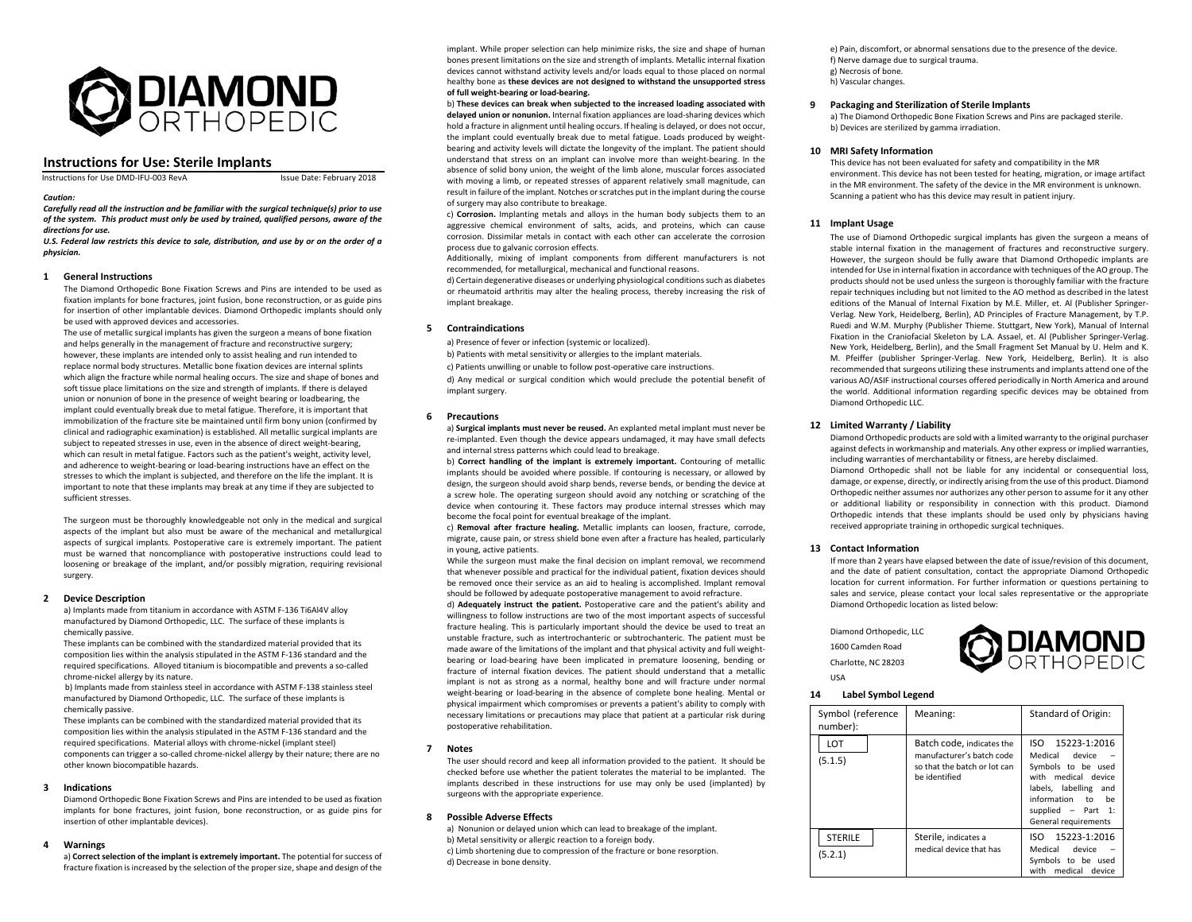

# **Instructions for Use: Sterile Implants**

Instructions for Use DMD-IFU-003 RevA Issue Date: February 2018

 *Carefully read all the instruction and be familiar with the surgical technique(s) prior to use of the system. This product must only be used by trained, qualified persons, aware of the directions for use.* 

*U.S. Federal law restricts this device to sale, distribution, and use by or on the order of a physician.* 

# **1 General Instructions**

*Caution:* 

The Diamond Orthopedic Bone Fixation Screws and Pins are intended to be used as fixation implants for bone fractures, joint fusion, bone reconstruction, or as guide pins for insertion of other implantable devices. Diamond Orthopedic implants should only be used with approved devices and accessories.

The use of metallic surgical implants has given the surgeon a means of bone fixation and helps generally in the management of fracture and reconstructive surgery; however, these implants are intended only to assist healing and run intended to replace normal body structures. Metallic bone fixation devices are internal splints which align the fracture while normal healing occurs. The size and shape of bones and soft tissue place limitations on the size and strength of implants. If there is delayed union or nonunion of bone in the presence of weight bearing or loadbearing, the implant could eventually break due to metal fatigue. Therefore, it is important that immobilization of the fracture site be maintained until firm bony union (confirmed by clinical and radiographic examination) is established. All metallic surgical implants are subject to repeated stresses in use, even in the absence of direct weight-bearing, which can result in metal fatigue. Factors such as the patient's weight, activity level, and adherence to weight-bearing or load-bearing instructions have an effect on the stresses to which the implant is subjected, and therefore on the life the implant. It is important to note that these implants may break at any time if they are subjected to sufficient stresses.

The surgeon must be thoroughly knowledgeable not only in the medical and surgical aspects of the implant but also must be aware of the mechanical and metallurgical aspects of surgical implants. Postoperative care is extremely important. The patient must be warned that noncompliance with postoperative instructions could lead to loosening or breakage of the implant, and/or possibly migration, requiring revisional surgery.

#### **2 Device Description**

 a) Implants made from titanium in accordance with ASTM F‐136 Ti6Al4V alloy manufactured by Diamond Orthopedic, LLC. The surface of these implants is chemically passive.

These implants can be combined with the standardized material provided that its composition lies within the analysis stipulated in the ASTM F‐136 standard and the required specifications. Alloyed titanium is biocompatible and prevents a so-called chrome‐nickel allergy by its nature.

 b) Implants made from stainless steel in accordance with ASTM F‐138 stainless steel manufactured by Diamond Orthopedic, LLC. The surface of these implants is chemically passive.

These implants can be combined with the standardized material provided that its composition lies within the analysis stipulated in the ASTM F‐136 standard and the required specifications. Material alloys with chrome‐nickel (implant steel) components can trigger a so‐called chrome‐nickel allergy by their nature; there are no other known biocompatible hazards.

#### **3 Indications**

Diamond Orthopedic Bone Fixation Screws and Pins are intended to be used as fixation implants for bone fractures, joint fusion, bone reconstruction, or as guide pins for insertion of other implantable devices).

#### **4Warnings**

a) **Correct selection of the implant is extremely important.** The potential for success of fracture fixation is increased by the selection of the proper size, shape and design of the

implant. While proper selection can help minimize risks, the size and shape of human bones present limitations on the size and strength of implants. Metallic internal fixation devices cannot withstand activity levels and/or loads equal to those placed on normal healthy bone as **these devices are not designed to withstand the unsupported stress of full weight‐bearing or load‐bearing.**

b) **These devices can break when subjected to the increased loading associated with delayed union or nonunion.** Internal fixation appliances are load‐sharing devices which hold a fracture in alignment until healing occurs. If healing is delayed, or does not occur, the implant could eventually break due to metal fatigue. Loads produced by weight‐ bearing and activity levels will dictate the longevity of the implant. The patient should understand that stress on an implant can involve more than weight‐bearing. In the absence of solid bony union, the weight of the limb alone, muscular forces associated with moving a limb, or repeated stresses of apparent relatively small magnitude, can result in failure of the implant. Notches or scratches put in the implant during the course of surgery may also contribute to breakage.

c) **Corrosion.**  Implanting metals and alloys in the human body subjects them to an aggressive chemical environment of salts, acids, and proteins, which can cause corrosion. Dissimilar metals in contact with each other can accelerate the corrosion process due to galvanic corrosion effects.

Additionally, mixing of implant components from different manufacturers is not recommended, for metallurgical, mechanical and functional reasons.

d) Certain degenerative diseases or underlying physiological conditions such as diabetes or rheumatoid arthritis may alter the healing process, thereby increasing the risk of implant breakage.

# **5 Contraindications**

a) Presence of fever or infection (systemic or localized).

b) Patients with metal sensitivity or allergies to the implant materials.

c) Patients unwilling or unable to follow post-operative care instructions. d) Any medical or surgical condition which would preclude the potential benefit of implant surgery.

#### **6Precautions**

a) **Surgical implants must never be reused.** An explanted metal implant must never be re-implanted. Even though the device appears undamaged, it may have small defects and internal stress patterns which could lead to breakage.

b) **Correct handling of the implant is extremely important.**  Contouring of metallic implants should be avoided where possible. If contouring is necessary, or allowed by design, the surgeon should avoid sharp bends, reverse bends, or bending the device at a screw hole. The operating surgeon should avoid any notching or scratching of the device when contouring it. These factors may produce internal stresses which may become the focal point for eventual breakage of the implant.

c) **Removal after fracture healing.**  Metallic implants can loosen, fracture, corrode, migrate, cause pain, or stress shield bone even after a fracture has healed, particularly in young, active patients.

While the surgeon must make the final decision on implant removal, we recommend that whenever possible and practical for the individual patient, fixation devices should be removed once their service as an aid to healing is accomplished. Implant removal should be followed by adequate postoperative management to avoid refracture.

d) **Adequately instruct the patient.**  Postoperative care and the patient's ability and willingness to follow instructions are two of the most important aspects of successful fracture healing. This is particularly important should the device be used to treat an unstable fracture, such as intertrochanteric or subtrochanteric. The patient must be made aware of the limitations of the implant and that physical activity and full weightbearing or load‐bearing have been implicated in premature loosening, bending or fracture of internal fixation devices. The patient should understand that <sup>a</sup> metallic implant is not as strong as a normal, healthy bone and will fracture under normal weight-bearing or load-bearing in the absence of complete bone healing. Mental or physical impairment which compromises or prevents a patient's ability to comply with necessary limitations or precautions may place that patient at a particular risk during postoperative rehabilitation.

#### **7 Notes**

 The user should record and keep all information provided to the patient. It should be checked before use whether the patient tolerates the material to be implanted. The implants described in these instructions for use may only be used (implanted) by surgeons with the appropriate experience.

# **8 Possible Adverse Effects**

a) Nonunion or delayed union which can lead to breakage of the implant. b) Metal sensitivity or allergic reaction to a foreign body. c) Limb shortening due to compression of the fracture or bone resorption. d) Decrease in bone density.

e) Pain, discomfort, or abnormal sensations due to the presence of the device. f) Nerve damage due to surgical trauma. g) Necrosis of bone. h) Vascular changes.

### **9 Packaging and Sterilization of Sterile Implants**

 a) The Diamond Orthopedic Bone Fixation Screws and Pins are packaged sterile. b) Devices are sterilized by gamma irradiation.

#### **10 MRI Safety Information**

This device has not been evaluated for safety and compatibility in the MR environment. This device has not been tested for heating, migration, or image artifact in the MR environment. The safety of the device in the MR environment is unknown. Scanning a patient who has this device may result in patient injury.

# **11 Implant Usage**

The use of Diamond Orthopedic surgical implants has given the surgeon a means of stable internal fixation in the management of fractures and reconstructive surgery. However, the surgeon should be fully aware that Diamond Orthopedic implants are intended for Use in internal fixation in accordance with techniques of the AO group. The products should not be used unless the surgeon is thoroughly familiar with the fracture repair techniques including but not limited to the AO method as described in the latest editions of the Manual of Internal Fixation by M.E. Miller, et. Al (Publisher Springer‐ Verlag. New York, Heidelberg, Berlin), AD Principles of Fracture Management, by T.P. Ruedi and W.M. Murphy (Publisher Thieme. Stuttgart, New York), Manual of Internal Fixation in the Craniofacial Skeleton by L.A. Assael, et. Al (Publisher Springer-Verlag. New York, Heidelberg, Berlin), and the Small Fragment Set Manual by U. Helm and K. M. Pfeiffer (publisher Springer‐Verlag. New York, Heidelberg, Berlin). It is also recommended that surgeons utilizing these instruments and implants attend one of the various AO/ASIF instructional courses offered periodically in North America and around the world. Additional information regarding specific devices may be obtained from Diamond Orthopedic LLC.

### **12 Limited Warranty / Liability**

Diamond Orthopedic products are sold with a limited warranty to the original purchaser against defects in workmanship and materials. Any other express or implied warranties, including warranties of merchantability or fitness, are hereby disclaimed. Diamond Orthopedic shall not be liable for any incidental or consequential loss, damage, or expense, directly, or indirectly arising from the use of this product. Diamond Orthopedic neither assumes nor authorizes any other person to assume for it any other or additional liability or responsibility in connection with this product. Diamond Orthopedic intends that these implants should be used only by physicians having received appropriate training in orthopedic surgical techniques.

# **13 Contact Information**

If more than 2 years have elapsed between the date of issue/revision of this document, and the date of patient consultation, contact the appropriate Diamond Orthopedic location for current information. For further information or questions pertaining to sales and service, please contact your local sales representative or the appropriate Diamond Orthopedic location as listed below:

Diamond Orthopedic, LLC 1600 Camden Road Charlotte, NC 28203 USA



#### **14Label Symbol Legend**

| Symbol (reference<br>number): | Meaning:                                                                                                | Standard of Origin:                                                                                                                                                              |
|-------------------------------|---------------------------------------------------------------------------------------------------------|----------------------------------------------------------------------------------------------------------------------------------------------------------------------------------|
| <b>LOT</b><br>(5.1.5)         | Batch code, indicates the<br>manufacturer's batch code<br>so that the batch or lot can<br>be identified | ISO 15223-1:2016<br>Medical<br>device<br>Symbols to be used<br>with medical device<br>labels, labelling and<br>information to be<br>supplied $-$ Part 1:<br>General requirements |
| <b>STERILE</b><br>(5.2.1)     | Sterile, indicates a<br>medical device that has                                                         | 15223-1:2016<br>ISO<br>Medical<br>device<br>Symbols to be used<br>medical device<br>with                                                                                         |